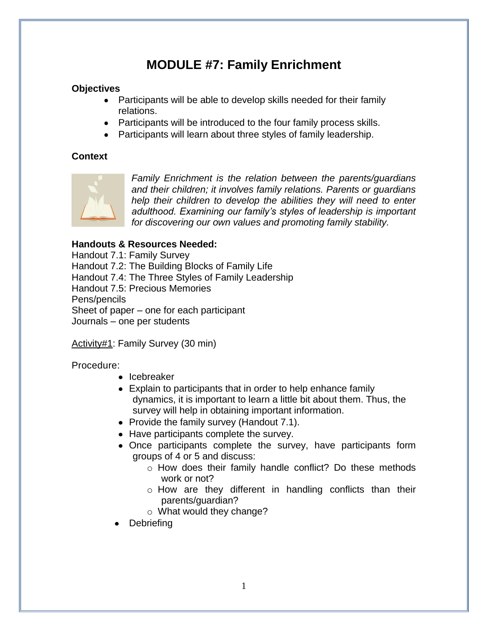## **MODULE #7: Family Enrichment**

## **Objectives**

- Participants will be able to develop skills needed for their family relations.
- Participants will be introduced to the four family process skills.
- Participants will learn about three styles of family leadership.

## **Context**



*Family Enrichment is the relation between the parents/guardians and their children; it involves family relations. Parents or guardians help their children to develop the abilities they will need to enter adulthood. Examining our family's styles of leadership is important for discovering our own values and promoting family stability.*

## **Handouts & Resources Needed:**

Handout 7.1: Family Survey Handout 7.2: The Building Blocks of Family Life Handout 7.4: The Three Styles of Family Leadership Handout 7.5: Precious Memories Pens/pencils Sheet of paper – one for each participant Journals – one per students

Activity#1: Family Survey (30 min)

Procedure:

- Icebreaker
- Explain to participants that in order to help enhance family dynamics, it is important to learn a little bit about them. Thus, the survey will help in obtaining important information.
- Provide the family survey (Handout 7.1).
- Have participants complete the survey.
- Once participants complete the survey, have participants form groups of 4 or 5 and discuss:
	- o How does their family handle conflict? Do these methods work or not?
	- o How are they different in handling conflicts than their parents/guardian?
	- o What would they change?
- **Debriefing**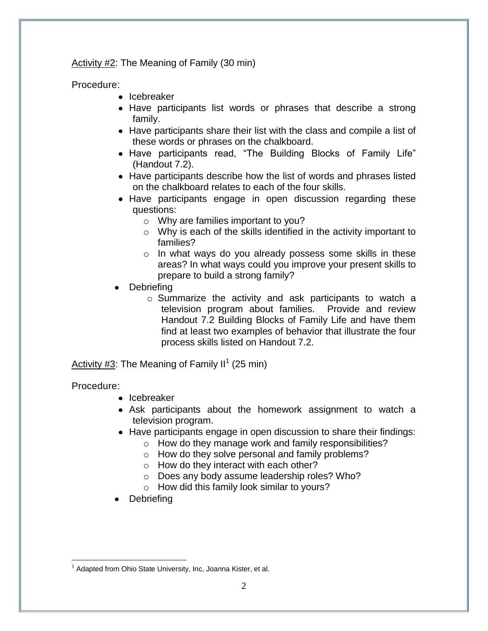Activity #2: The Meaning of Family (30 min)

Procedure:

- Icebreaker
- Have participants list words or phrases that describe a strong family.
- Have participants share their list with the class and compile a list of these words or phrases on the chalkboard.
- Have participants read, "The Building Blocks of Family Life" (Handout 7.2).
- Have participants describe how the list of words and phrases listed on the chalkboard relates to each of the four skills.
- Have participants engage in open discussion regarding these questions:
	- o Why are families important to you?
	- o Why is each of the skills identified in the activity important to families?
	- o In what ways do you already possess some skills in these areas? In what ways could you improve your present skills to prepare to build a strong family?
- **Debriefing** 
	- o Summarize the activity and ask participants to watch a television program about families. Provide and review Handout 7.2 Building Blocks of Family Life and have them find at least two examples of behavior that illustrate the four process skills listed on Handout 7.2.

Activity #3: The Meaning of Family II<sup>1</sup> (25 min)

Procedure:

- Icebreaker
- Ask participants about the homework assignment to watch a television program.
- Have participants engage in open discussion to share their findings:
	- o How do they manage work and family responsibilities?
	- o How do they solve personal and family problems?
	- o How do they interact with each other?
	- o Does any body assume leadership roles? Who?
	- $\circ$  How did this family look similar to yours?
- Debriefing

<sup>&</sup>lt;u>.</u> <sup>1</sup> Adapted from Ohio State University, Inc, Joanna Kister, et al.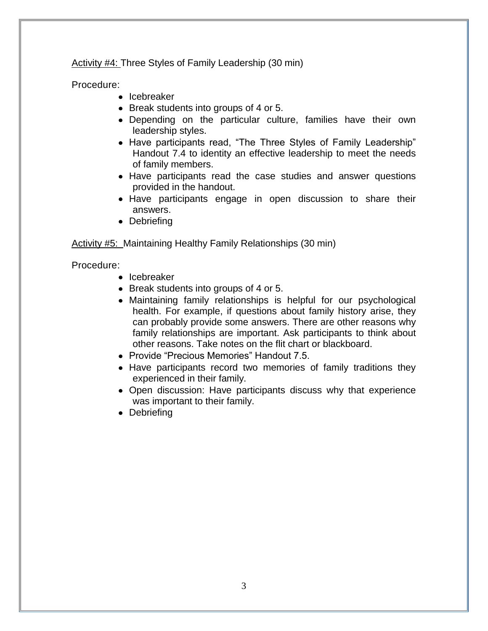Activity #4: Three Styles of Family Leadership (30 min)

Procedure:

- Icebreaker
- Break students into groups of 4 or 5.
- Depending on the particular culture, families have their own leadership styles.
- Have participants read, "The Three Styles of Family Leadership" Handout 7.4 to identity an effective leadership to meet the needs of family members.
- Have participants read the case studies and answer questions provided in the handout.
- Have participants engage in open discussion to share their answers.
- Debriefing

### Activity #5: Maintaining Healthy Family Relationships (30 min)

Procedure:

- $\bullet$  Icebreaker
- Break students into groups of 4 or 5.
- Maintaining family relationships is helpful for our psychological health. For example, if questions about family history arise, they can probably provide some answers. There are other reasons why family relationships are important. Ask participants to think about other reasons. Take notes on the flit chart or blackboard.
- Provide "Precious Memories" Handout 7.5.
- Have participants record two memories of family traditions they experienced in their family.
- Open discussion: Have participants discuss why that experience was important to their family.
- Debriefing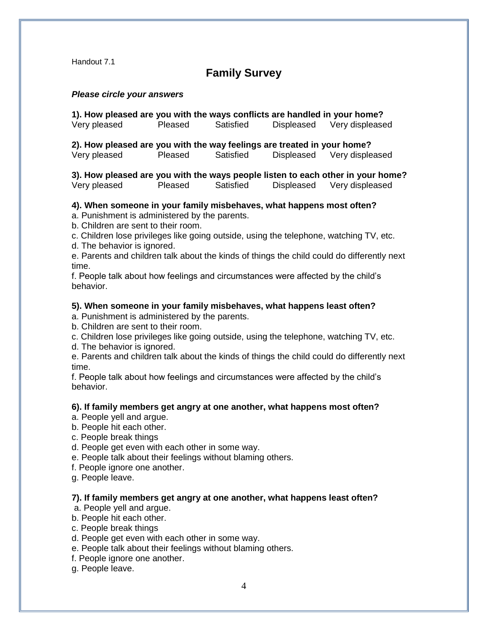## **Family Survey**

### *Please circle your answers*

**1). How pleased are you with the ways conflicts are handled in your home?** Very pleased Pleased Satisfied Displeased Very displeased

**2). How pleased are you with the way feelings are treated in your home?** Very pleased Pleased Satisfied Displeased Very displeased

**3). How pleased are you with the ways people listen to each other in your home?** Very pleased Pleased Satisfied Displeased Very displeased

#### **4). When someone in your family misbehaves, what happens most often?**

a. Punishment is administered by the parents.

b. Children are sent to their room.

c. Children lose privileges like going outside, using the telephone, watching TV, etc.

d. The behavior is ignored.

e. Parents and children talk about the kinds of things the child could do differently next time.

f. People talk about how feelings and circumstances were affected by the child's behavior.

#### **5). When someone in your family misbehaves, what happens least often?**

a. Punishment is administered by the parents.

b. Children are sent to their room.

c. Children lose privileges like going outside, using the telephone, watching TV, etc.

d. The behavior is ignored.

e. Parents and children talk about the kinds of things the child could do differently next time.

f. People talk about how feelings and circumstances were affected by the child's behavior.

#### **6). If family members get angry at one another, what happens most often?**

a. People yell and argue.

- b. People hit each other.
- c. People break things
- d. People get even with each other in some way.

e. People talk about their feelings without blaming others.

f. People ignore one another.

g. People leave.

#### **7). If family members get angry at one another, what happens least often?**

a. People yell and argue.

b. People hit each other.

c. People break things

d. People get even with each other in some way.

e. People talk about their feelings without blaming others.

f. People ignore one another.

g. People leave.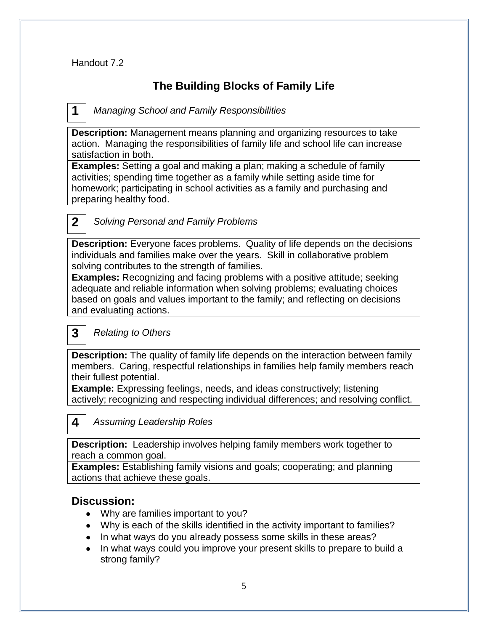## **The Building Blocks of Family Life**

*Managing School and Family Responsibilities* **1**

**Description:** Management means planning and organizing resources to take action. Managing the responsibilities of family life and school life can increase satisfaction in both.

**Examples:** Setting a goal and making a plan; making a schedule of family activities; spending time together as a family while setting aside time for homework; participating in school activities as a family and purchasing and preparing healthy food.

**2**

## *Solving Personal and Family Problems*

**Description:** Everyone faces problems. Quality of life depends on the decisions individuals and families make over the years. Skill in collaborative problem solving contributes to the strength of families.

**Examples:** Recognizing and facing problems with a positive attitude; seeking adequate and reliable information when solving problems; evaluating choices based on goals and values important to the family; and reflecting on decisions and evaluating actions.

#### *Relating to Others* **3**

**Description:** The quality of family life depends on the interaction between family members. Caring, respectful relationships in families help family members reach their fullest potential.

**Example:** Expressing feelings, needs, and ideas constructively; listening actively; recognizing and respecting individual differences; and resolving conflict.

*Assuming Leadership Roles* **4**

**Description:** Leadership involves helping family members work together to reach a common goal.

**Examples:** Establishing family visions and goals; cooperating; and planning actions that achieve these goals.

## **Discussion:**

- Why are families important to you?
- Why is each of the skills identified in the activity important to families?
- In what ways do you already possess some skills in these areas?
- In what ways could you improve your present skills to prepare to build a strong family?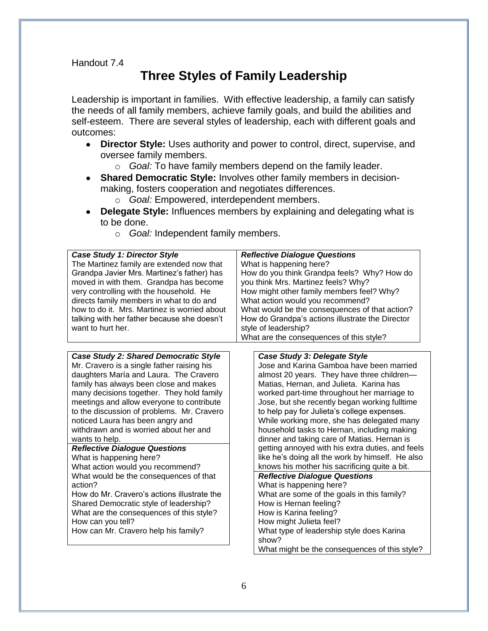# **Three Styles of Family Leadership**

Leadership is important in families. With effective leadership, a family can satisfy the needs of all family members, achieve family goals, and build the abilities and self-esteem. There are several styles of leadership, each with different goals and outcomes:

- **Director Style:** Uses authority and power to control, direct, supervise, and oversee family members.
	- o *Goal:* To have family members depend on the family leader.
- **Shared Democratic Style:** Involves other family members in decisionmaking, fosters cooperation and negotiates differences.
	- o *Goal:* Empowered, interdependent members.
- **Delegate Style:** Influences members by explaining and delegating what is to be done.
	- o *Goal:* Independent family members.

| <b>Case Study 1: Director Style</b><br>The Martinez family are extended now that<br>Grandpa Javier Mrs. Martinez's father) has<br>moved in with them. Grandpa has become<br>very controlling with the household. He<br>directs family members in what to do and<br>how to do it. Mrs. Martinez is worried about<br>talking with her father because she doesn't<br>want to hurt her.                                                                                                                                           | <b>Reflective Dialogue Questions</b><br>What is happening here?<br>How do you think Grandpa feels? Why? How do<br>you think Mrs. Martinez feels? Why?<br>How might other family members feel? Why?<br>What action would you recommend?<br>What would be the consequences of that action?<br>How do Grandpa's actions illustrate the Director<br>style of leadership?<br>What are the consequences of this style?                                                                                                                                                                                                      |
|-------------------------------------------------------------------------------------------------------------------------------------------------------------------------------------------------------------------------------------------------------------------------------------------------------------------------------------------------------------------------------------------------------------------------------------------------------------------------------------------------------------------------------|-----------------------------------------------------------------------------------------------------------------------------------------------------------------------------------------------------------------------------------------------------------------------------------------------------------------------------------------------------------------------------------------------------------------------------------------------------------------------------------------------------------------------------------------------------------------------------------------------------------------------|
| <b>Case Study 2: Shared Democratic Style</b><br>Mr. Cravero is a single father raising his<br>daughters María and Laura. The Cravero<br>family has always been close and makes<br>many decisions together. They hold family<br>meetings and allow everyone to contribute<br>to the discussion of problems. Mr. Cravero<br>noticed Laura has been angry and<br>withdrawn and is worried about her and<br>wants to help.<br><b>Reflective Dialogue Questions</b><br>What is happening here?<br>What action would you recommend? | Case Study 3: Delegate Style<br>Jose and Karina Gamboa have been married<br>almost 20 years. They have three children-<br>Matias, Hernan, and Julieta. Karina has<br>worked part-time throughout her marriage to<br>Jose, but she recently began working fulltime<br>to help pay for Julieta's college expenses.<br>While working more, she has delegated many<br>household tasks to Hernan, including making<br>dinner and taking care of Matias. Hernan is<br>getting annoyed with his extra duties, and feels<br>like he's doing all the work by himself. He also<br>knows his mother his sacrificing quite a bit. |
| What would be the consequences of that<br>action?<br>How do Mr. Cravero's actions illustrate the<br>Shared Democratic style of leadership?<br>What are the consequences of this style?<br>How can you tell?<br>How can Mr. Cravero help his family?                                                                                                                                                                                                                                                                           | <b>Reflective Dialogue Questions</b><br>What is happening here?<br>What are some of the goals in this family?<br>How is Hernan feeling?<br>How is Karina feeling?<br>How might Julieta feel?<br>What type of leadership style does Karina<br>show?<br>What might be the consequences of this style?                                                                                                                                                                                                                                                                                                                   |